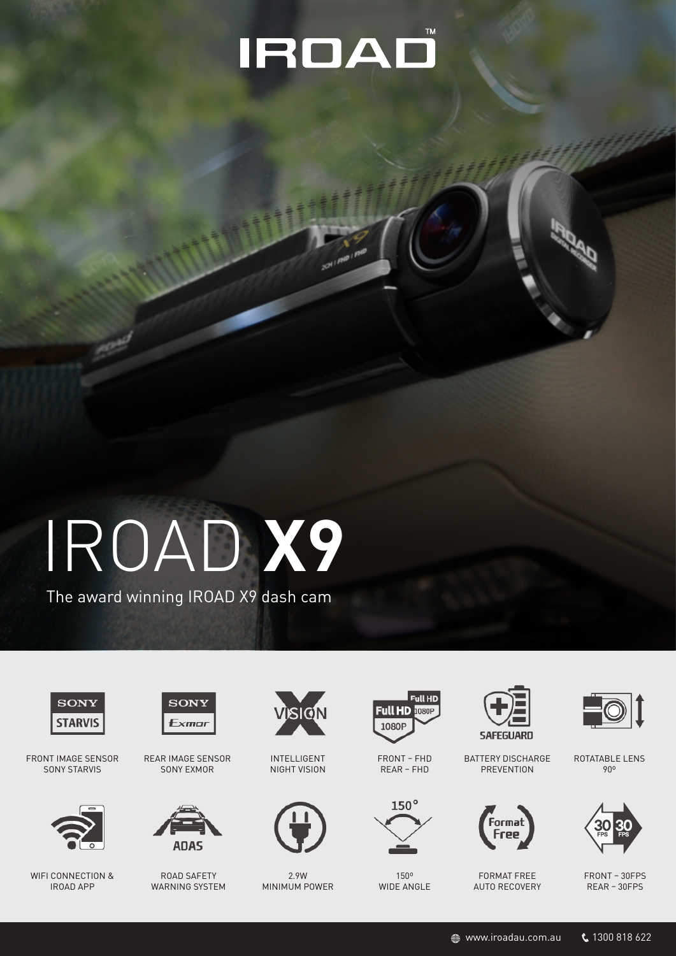## IROAD

# IROAD **X9**

The award winning IROAD X9 dash cam



FRONT IMAGE SENSOR SONY STARVIS



WIFI CONNECTION & IROAD APP



REAR IMAGE SENSOR SONY EXMOR



ROAD SAFETY WARNING SYSTEM



INTELLIGENT NIGHT VISION



2.9W MINIMUM POWER



FRONT – FHD REAR – FHD



150º WIDE ANGLE



BATTERY DISCHARGE **PREVENTION** 







ROTATABLE LENS 90º



FRONT – 30FPS REAR – 30FPS

 $\textcircled{\tiny{w}}$  www.iroadau.com.au  $\textcircled{\tiny{k}}$  1300 818 622